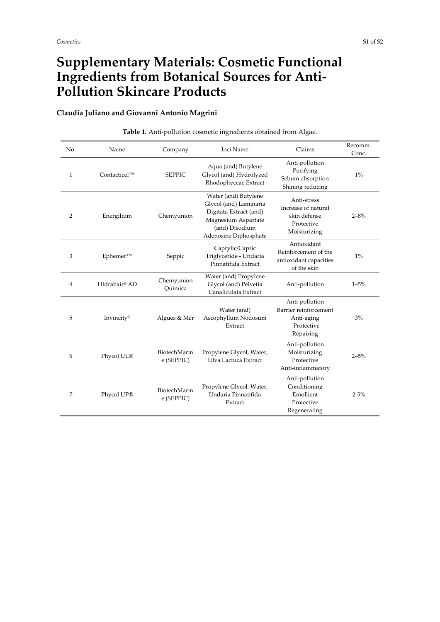## **Supplementary Materials: Cosmetic Functional Ingredients from Botanical Sources for Anti-Pollution Skincare Products**

## **Claudia Juliano and Giovanni Antonio Magrini**

| No.            | Name               | Company                    | Inci Name                                                                                                                                  | Claims                                                                           | Recomm.<br>Conc. |
|----------------|--------------------|----------------------------|--------------------------------------------------------------------------------------------------------------------------------------------|----------------------------------------------------------------------------------|------------------|
| 1              | $Contacticel^{TM}$ | <b>SEPPIC</b>              | Aqua (and) Butylene<br>Glycol (and) Hydrolyzed<br>Rhodophyceae Extract                                                                     | Anti-pollution<br>Purifying<br>Sebum absorption<br>Shining reducing              | $1\%$            |
| $\overline{2}$ | Energilium         | Chemyunion                 | Water (and) Butylene<br>Glycol (and) Laminaria<br>Digitata Extract (and)<br>Magnesium Aspartate<br>(and) Disodium<br>Adenosine Diphosphate | Anti-stress<br>Increase of natural<br>skin defense<br>Protective<br>Moisturizing | $2 - 8%$         |
| 3              | Ephemer™           | Seppic                     | Caprylic/Capric<br>Triglyceride - Undaria<br>Pinnatifida Extract                                                                           | Antioxidant<br>Reinforcement of the<br>antioxidant capacities<br>of the skin     | 1%               |
| $\overline{4}$ | HIdrahair® AD      | Chemyunion<br>Ouimica      | Water (and) Propylene<br>Glycol (and) Pelvetia<br>Canaliculata Extract                                                                     | Anti-pollution                                                                   | $1 - 5%$         |
| 5              | Invincity®         | Algues & Mer               | Water (and)<br>Ascophyllum Nodosum<br>Extract                                                                                              | Anti-pollution<br>Barrier reinforcement<br>Anti-aging<br>Protective<br>Repairing | 3%               |
| 6              | Phycol UL®         | BiotechMarin<br>e (SEPPIC) | Propylene Glycol, Water,<br>Ulva Lactuca Extract                                                                                           | Anti-pollution<br>Moisturizing<br>Protective<br>Anti-inflammatory                | $2 - 5%$         |
| 7              | Phycol UP®         | BiotechMarin<br>e (SEPPIC) | Propylene Glycol, Water,<br>Undaria Pinnatifida<br>Extract                                                                                 | Anti-pollution<br>Conditioning<br>Emollient<br>Protective<br>Regenerating        | $2 - 5%$         |

## **Table 1.** Anti-pollution cosmetic ingredients obtained from Algae.